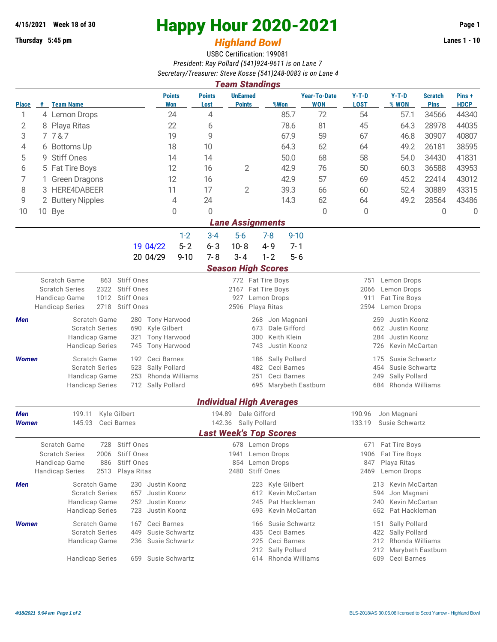## **Thursday 5:45 pm** *Highland Bowl* **Lanes 1 - 10**

## **4/15/2021 Week 18 of 30 Happy Hour 2020-2021 Page 1**

## USBC Certification: 199081 *President: Ray Pollard (541)924-9611 is on Lane 7 Secretary/Treasurer: Steve Kosse (541)248-0083 is on Lane 4*

|                                                      |   |                                                |                                   |                      |                       | <b>Team Standings</b>            |                                             |                                   |                                             |                                                |                               |                      |  |  |  |
|------------------------------------------------------|---|------------------------------------------------|-----------------------------------|----------------------|-----------------------|----------------------------------|---------------------------------------------|-----------------------------------|---------------------------------------------|------------------------------------------------|-------------------------------|----------------------|--|--|--|
| <b>Place</b>                                         |   | # Team Name                                    |                                   | <b>Points</b><br>Won | <b>Points</b><br>Lost | <b>UnEarned</b><br><b>Points</b> | %Won                                        | <b>Year-To-Date</b><br><b>WON</b> | $Y-T-D$<br><b>LOST</b>                      | $Y-T-D$<br>% WON                               | <b>Scratch</b><br><b>Pins</b> | Pins+<br><b>HDCP</b> |  |  |  |
| 1                                                    |   | 4 Lemon Drops                                  |                                   | 24                   | 4                     |                                  | 85.7                                        | 72                                | 54                                          | 57.1                                           | 34566                         | 44340                |  |  |  |
| 2                                                    |   | 8 Playa Ritas                                  |                                   | 22                   | 6                     |                                  | 78.6                                        | 81                                | 45                                          | 64.3                                           | 28978                         | 44035                |  |  |  |
| 3                                                    |   | 7787                                           |                                   | 19                   | 9                     |                                  | 67.9                                        | 59                                | 67                                          | 46.8                                           | 30907                         | 40807                |  |  |  |
| 4                                                    |   | 6 Bottoms Up                                   |                                   | 18                   | 10                    |                                  | 64.3                                        | 62                                | 64                                          | 49.2                                           | 26181                         | 38595                |  |  |  |
| 5                                                    | 9 | <b>Stiff Ones</b>                              |                                   | 14                   | 14                    |                                  | 50.0                                        | 68                                | 58                                          | 54.0                                           | 34430                         | 41831                |  |  |  |
| 6                                                    |   | 5 Fat Tire Boys                                |                                   | 12                   | 16                    | $\overline{2}$                   | 42.9                                        | 76                                | 50                                          | 60.3                                           | 36588                         | 43953                |  |  |  |
| 7                                                    |   | <b>Green Dragons</b>                           |                                   | 12                   | 16                    |                                  | 42.9                                        | 57                                | 69                                          | 45.2                                           | 22414                         | 43012                |  |  |  |
| 8                                                    |   | 3 HERE4DABEER                                  |                                   | 11                   | 17                    | $\overline{2}$                   | 39.3                                        | 66                                | 60                                          | 52.4                                           | 30889                         | 43315                |  |  |  |
| 9                                                    |   | 2 Buttery Nipples                              |                                   | 4                    | 24                    |                                  | 14.3                                        | 62                                | 64                                          | 49.2                                           | 28564                         | 43486                |  |  |  |
| 10                                                   |   | 10 Bye                                         |                                   | 0                    | 0                     |                                  |                                             | 0                                 | 0                                           |                                                | 0                             | 0                    |  |  |  |
|                                                      |   |                                                |                                   |                      |                       | <b>Lane Assignments</b>          |                                             |                                   |                                             |                                                |                               |                      |  |  |  |
|                                                      |   |                                                |                                   | $1-2$                | $3 - 4$               | $5-6$                            | $7 - 8$<br>$9 - 10$                         |                                   |                                             |                                                |                               |                      |  |  |  |
|                                                      |   |                                                | 19 04/22                          | $5 - 2$              | $6 - 3$               | $10 - 8$                         | $4 - 9$<br>$7 - 1$                          |                                   |                                             |                                                |                               |                      |  |  |  |
|                                                      |   |                                                | 20 04/29                          | $9 - 10$             | $7 - 8$               | $3 - 4$                          | $5 - 6$<br>$1 - 2$                          |                                   |                                             |                                                |                               |                      |  |  |  |
|                                                      |   |                                                |                                   |                      |                       | <b>Season High Scores</b>        |                                             |                                   |                                             |                                                |                               |                      |  |  |  |
|                                                      |   | Scratch Game<br>863                            | <b>Stiff Ones</b>                 |                      |                       |                                  | 772 Fat Tire Boys                           |                                   | 751                                         | Lemon Drops                                    |                               |                      |  |  |  |
| 2322<br><b>Scratch Series</b>                        |   |                                                | Stiff Ones                        |                      |                       | 2167 Fat Tire Boys               |                                             |                                   |                                             | 2066<br>Lemon Drops                            |                               |                      |  |  |  |
| 1012<br>Handicap Game<br>2718                        |   |                                                | Stiff Ones                        |                      |                       | 927                              | Lemon Drops                                 |                                   | 911<br>Fat Tire Boys<br>2594<br>Lemon Drops |                                                |                               |                      |  |  |  |
| Stiff Ones<br><b>Handicap Series</b>                 |   |                                                |                                   |                      |                       | 2596                             | Playa Ritas                                 |                                   |                                             |                                                |                               |                      |  |  |  |
| <b>Men</b>                                           |   | Scratch Game<br><b>Scratch Series</b>          | <b>Tony Harwood</b><br>280<br>690 |                      |                       | 268<br>673                       | Jon Magnani<br>Dale Gifford                 |                                   | 259<br>Justin Koonz<br>662<br>Justin Koonz  |                                                |                               |                      |  |  |  |
| Kyle Gilbert<br>Tony Harwood<br>Handicap Game<br>321 |   |                                                |                                   |                      | 300                   | Keith Klein                      |                                             | 284<br>Justin Koonz               |                                             |                                                |                               |                      |  |  |  |
|                                                      |   | <b>Handicap Series</b><br>745                  |                                   | Tony Harwood         |                       | 743                              | Justin Koonz                                |                                   | 726<br>Kevin McCartan                       |                                                |                               |                      |  |  |  |
| Women                                                |   | Scratch Game                                   | Ceci Barnes<br>192                |                      |                       | 186                              | Sally Pollard                               |                                   | 175                                         | Susie Schwartz                                 |                               |                      |  |  |  |
|                                                      |   | <b>Scratch Series</b>                          | Sally Pollard<br>523              |                      |                       | 482                              | Ceci Barnes                                 |                                   | 454                                         | Susie Schwartz                                 |                               |                      |  |  |  |
|                                                      |   | Handicap Game                                  | 253                               | Rhonda Williams      |                       | 251                              | Ceci Barnes                                 |                                   | 249                                         | Sally Pollard                                  |                               |                      |  |  |  |
|                                                      |   | <b>Handicap Series</b>                         | 712<br>Sally Pollard              |                      |                       | 695                              | Marybeth Eastburn                           |                                   | 684                                         | Rhonda Williams                                |                               |                      |  |  |  |
|                                                      |   |                                                |                                   |                      |                       |                                  | <b>Individual High Averages</b>             |                                   |                                             |                                                |                               |                      |  |  |  |
| <b>Men</b>                                           |   | Kyle Gilbert<br>199.11                         |                                   |                      | 194.89                | Dale Gifford                     |                                             |                                   | 190.96                                      | Jon Magnani                                    |                               |                      |  |  |  |
| Women                                                |   | 145.93<br>Ceci Barnes                          |                                   |                      |                       | 142.36 Sally Pollard             |                                             |                                   | 133.19                                      | Susie Schwartz                                 |                               |                      |  |  |  |
|                                                      |   |                                                |                                   |                      |                       |                                  | <b>Last Week's Top Scores</b>               |                                   |                                             |                                                |                               |                      |  |  |  |
|                                                      |   | Scratch Game<br>728                            | Stiff Ones                        |                      |                       |                                  | 678 Lemon Drops                             |                                   | 671                                         | Fat Tire Boys                                  |                               |                      |  |  |  |
|                                                      |   | <b>Scratch Series</b><br>2006                  | Stiff Ones                        |                      |                       | 1941                             | Lemon Drops                                 |                                   | 1906                                        | Fat Tire Boys                                  |                               |                      |  |  |  |
|                                                      |   | Handicap Game<br>886<br><b>Handicap Series</b> | Stiff Ones<br>2513 Playa Ritas    |                      |                       | 2480                             | 854 Lemon Drops<br><b>Stiff Ones</b>        |                                   | 847<br>2469                                 | Playa Ritas<br>Lemon Drops                     |                               |                      |  |  |  |
|                                                      |   |                                                | Justin Koonz                      |                      |                       |                                  |                                             |                                   |                                             | 213 Kevin McCartan                             |                               |                      |  |  |  |
| Men                                                  |   | Scratch Game<br><b>Scratch Series</b>          | 230<br>Justin Koonz<br>657        |                      |                       | 612                              | 223 Kyle Gilbert<br>Kevin McCartan          |                                   | 594                                         | Jon Magnani                                    |                               |                      |  |  |  |
|                                                      |   | Handicap Game                                  | Justin Koonz<br>252               |                      |                       | 245                              | Pat Hackleman                               |                                   | 240                                         | Kevin McCartan                                 |                               |                      |  |  |  |
|                                                      |   | <b>Handicap Series</b>                         | Justin Koonz<br>723               |                      |                       | 693                              | Kevin McCartan                              |                                   |                                             | Pat Hackleman<br>652                           |                               |                      |  |  |  |
| Women                                                |   | Scratch Game                                   | Ceci Barnes<br>167                |                      |                       | 166                              | Susie Schwartz                              |                                   | 151                                         | Sally Pollard                                  |                               |                      |  |  |  |
|                                                      |   | <b>Scratch Series</b>                          | 449                               | Susie Schwartz       |                       | 435                              | Ceci Barnes                                 |                                   |                                             | Sally Pollard<br>422                           |                               |                      |  |  |  |
|                                                      |   | Handicap Game                                  | Susie Schwartz<br>236             |                      |                       | 225                              | Ceci Barnes                                 |                                   |                                             | 212<br>Rhonda Williams                         |                               |                      |  |  |  |
|                                                      |   | <b>Handicap Series</b>                         | Susie Schwartz<br>659             |                      |                       |                                  | Sally Pollard<br>212<br>614 Rhonda Williams |                                   |                                             | Marybeth Eastburn<br>212<br>609<br>Ceci Barnes |                               |                      |  |  |  |